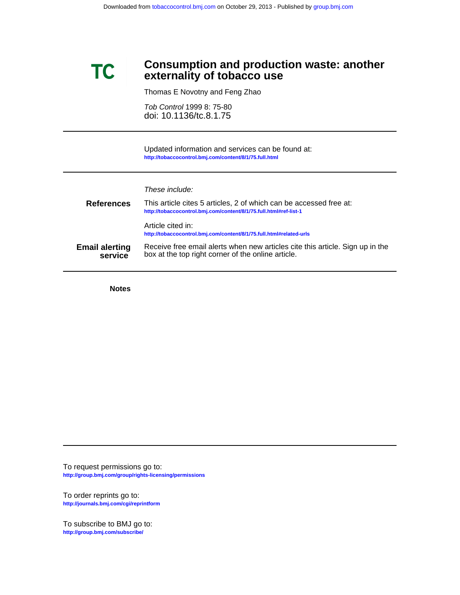# **externality of tobacco use Consumption and production waste: another**

Thomas E Novotny and Feng Zhao

doi: 10.1136/tc.8.1.75 Tob Control 1999 8: 75-80

**<http://tobaccocontrol.bmj.com/content/8/1/75.full.html>** Updated information and services can be found at:

## These include:

| <b>References</b>                | This article cites 5 articles, 2 of which can be accessed free at:<br>http://tobaccocontrol.bmj.com/content/8/1/75.full.html#ref-list-1 |  |  |
|----------------------------------|-----------------------------------------------------------------------------------------------------------------------------------------|--|--|
|                                  | Article cited in:<br>http://tobaccocontrol.bmj.com/content/8/1/75.full.html#related-urls                                                |  |  |
| <b>Email alerting</b><br>service | Receive free email alerts when new articles cite this article. Sign up in the<br>box at the top right corner of the online article.     |  |  |

**Notes**

**TC** 

**<http://group.bmj.com/group/rights-licensing/permissions>** To request permissions go to:

**<http://journals.bmj.com/cgi/reprintform>** To order reprints go to:

**<http://group.bmj.com/subscribe/>** To subscribe to BMJ go to: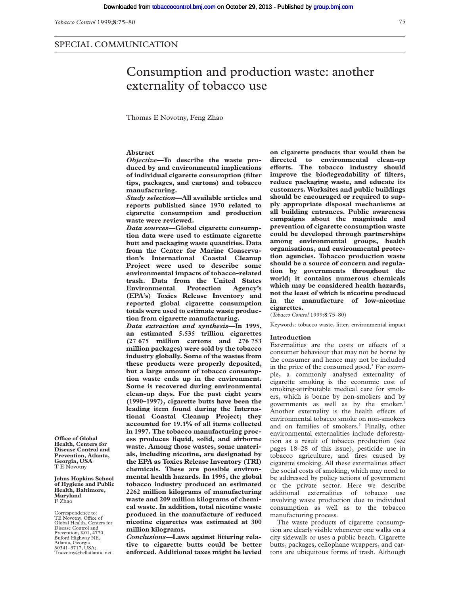# Consumption and production waste: another externality of tobacco use

Thomas E Novotny, Feng Zhao

## **Abstract**

*Objective—***To describe the waste produced by and environmental implications of individual cigarette consumption (filter tips, packages, and cartons) and tobacco manufacturing.**

*Study selection—***All available articles and reports published since 1970 related to cigarette consumption and production waste were reviewed.**

*Data sources—***Global cigarette consumption data were used to estimate cigarette butt and packaging waste quantities. Data from the Center for Marine Conservation's International Coastal Cleanup Project were used to describe some environmental impacts of tobacco-related trash. Data from the United States Environmental Protection Agency's (EPA's) Toxics Release Inventory and reported global cigarette consumption totals were used to estimate waste production from cigarette manufacturing.**

*Data extraction and synthesis—***In 1995, an estimated 5.535 trillion cigarettes (27 675 million cartons and 276 753 million packages) were sold by the tobacco industry globally. Some of the wastes from these products were properly deposited, but a large amount of tobacco consumption waste ends up in the environment. Some is recovered during environmental clean-up days. For the past eight years (1990–1997), cigarette butts have been the leading item found during the International Coastal Cleanup Project; they accounted for 19.1% of all items collected in 1997. The tobacco manufacturing process produces liquid, solid, and airborne waste. Among those wastes, some materials, including nicotine, are designated by the EPA as Toxics Release Inventory (TRI) chemicals. These are possible environmental health hazards. In 1995, the global tobacco industry produced an estimated 2262 million kilograms of manufacturing waste and 209 million kilograms of chemical waste. In addition, total nicotine waste produced in the manufacture of reduced nicotine cigarettes was estimated at 300 million kilograms.**

*Conclusions—***Laws against littering relative to cigarette butts could be better enforced. Additional taxes might be levied** **on cigarette products that would then be directed to environmental clean-up** efforts. The tobacco industry should **improve the biodegradability of filters, reduce packaging waste, and educate its customers. Worksites and public buildings should be encouraged or required to supply appropriate disposal mechanisms at all building entrances. Public awareness campaigns about the magnitude and prevention of cigarette consumption waste could be developed through partnerships among environmental groups, health organisations, and environmental protection agencies. Tobacco production waste should be a source of concern and regulation by governments throughout the world; it contains numerous chemicals which may be considered health hazards, not the least of which is nicotine produced in the manufacture of low-nicotine cigarettes.**

(*Tobacco Control* 1999;**8**:75–80)

Keywords: tobacco waste, litter, environmental impact

## **Introduction**

Externalities are the costs or effects of a consumer behaviour that may not be borne by the consumer and hence may not be included in the price of the consumed good.<sup>1</sup> For example, a commonly analysed externality of cigarette smoking is the economic cost of smoking-attributable medical care for smokers, which is borne by non-smokers and by governments as well as by the smoker.<sup>2</sup> Another externality is the health effects of environmental tobacco smoke on non-smokers and on families of smokers.<sup>3</sup> Finally, other environmental externalities include deforestation as a result of tobacco production (see pages 18–28 of this issue), pesticide use in tobacco agriculture, and fires caused by cigarette smoking. All these externalities affect the social costs of smoking, which may need to be addressed by policy actions of government or the private sector. Here we describe additional externalities of tobacco use involving waste production due to individual consumption as well as to the tobacco manufacturing process.

The waste products of cigarette consumption are clearly visible whenever one walks on a city sidewalk or uses a public beach. Cigarette butts, packages, cellophane wrappers, and cartons are ubiquitous forms of trash. Although

**OYce of Global Health, Centers for Disease Control and Prevention, Atlanta, Georgia, USA** T E Novotny

**Johns Hopkins School of Hygiene and Public Health, Baltimore, Maryland** F Zhao

Correspondence to: TE Novotny, Office of Global Health**,** Centers for Disease Control and Prevention, K01, 4770 Buford Highway NE, Atlanta, Georgia 30341–3717, USA; Tnovotny@bellatlantic.net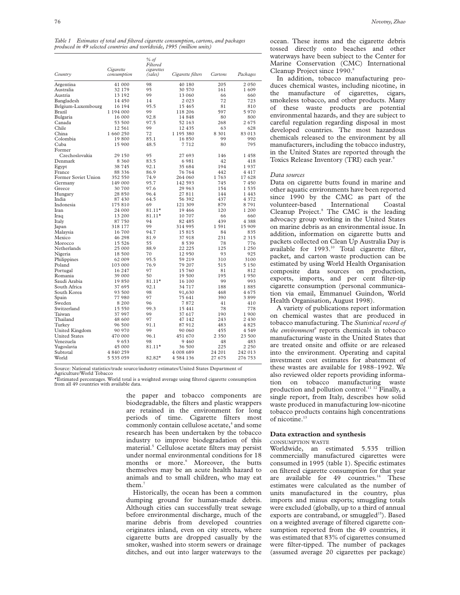*Table 1 Estimates of total and filtered cigarette consumption, cartons, and packages produced in 49 selected countries and worldwide, 1995 (million units)*

|                               |                     | % of<br>Filtered |                   |             |                |
|-------------------------------|---------------------|------------------|-------------------|-------------|----------------|
|                               | Cigarette           | cigarettes       |                   | Cartons     |                |
| Country                       | consumption         | (sales)          | Cigarette filters |             | Packages       |
| Argentina                     | 41 000              | 98               | 40 180            | 205         | 2050           |
| Australia                     | 32 179              | 95               | 30 570            | 161         | 1609           |
| Austria                       | 13 192              | 99               | 13 060            | 66          | 660            |
| Bangladesh                    | 14 450              | 14               | 2 0 2 3           | 72          | 723            |
| Belgium-Luxembourg            | 16 194              | 95.5             | 15 4 65           | 81          | 810            |
| Brazil                        | 1 194 000           | 99               | 118 206           | 597         | 5970           |
| Bulgaria                      | 16 000              | 92.8             | 14 848            | 80          | 800            |
| Canada                        | 53 500              | 97.5             | 52 163            | 268         | 2675           |
| Chile                         | 12 561              | 99               | 12 4 35           | 63          | 628            |
| China                         | 1 660 250           | 72               | 1 195 380         | 8 3 0 1     | 83 013         |
| Colombia                      | 19 800              | 85.1             | 16850             | 99          | 990            |
| Cuba                          | 15 900              | 48.5             | 7712              | 80          | 795            |
| Former                        |                     |                  |                   |             |                |
| Czechoslovakia                | 29 150              | 95               | 27 693            | 146         | 1458           |
| Denmark                       | 8 3 6 0             | 83.5             | 6981              | 42          | 418            |
| Egypt                         | 38 745              | 92.1             | 35 684            | 194         | 1937           |
| France<br>Former Soviet Union | 88 3 3 6<br>352 550 | 86.9<br>74.9     | 76764<br>264 060  | 442<br>1763 | 4417           |
|                               | 149 000             | 95.7             | 142 593           | 745         | 17 628<br>7450 |
| Germany                       | 30 700              | 97.6             | 29 9 63           | 154         | 1 5 3 5        |
| Greece                        | 28 850              | 96.4             | 27811             | 144         | 1443           |
| Hungary<br>India              | 87 430              | 64.5             | 56 392            | 437         | 4 3 7 2        |
| Indonesia                     | 175 810             | 69               | 121 309           | 879         | 8791           |
| Iran                          | 24 000              | $81.11*$         | 19 4 66           | 120         | 1 200          |
| Iraq                          | 13 200              | $81.11*$         | 10 707            | 66          | 660            |
| Italy                         | 87 750              | 94               | 82 485            | 439         | 4 3 8 8        |
| Japan                         | 318 177             | 99               | 314 995           | 1 591       | 15 909         |
| Malaysia                      | 16 700              | 94.7             | 15815             | 84          | 835            |
| Mexico                        | 46 298              | 81.9             | 37918             | 231         | 2 3 1 5        |
| Morocco                       | 15 5 26             | 55               | 8 5 3 9           | 78          | 776            |
| Netherlands                   | 25 000              | 88.9             | 22 225            | 125         | 1 250          |
| Nigeria                       | 18 500              | 70               | 12 9 50           | 93          | 925            |
| Philippines                   | 62 009              | 95.5             | 59 219            | 310         | 3100           |
| Poland                        | 103 000             | 76.9             | 79 207            | 515         | 5 1 5 0        |
| Portugal                      | 16 247              | 97               | 15 760            | 81          | 812            |
| Romania                       | 39 000              | 50               | 19 500            | 195         | 1950           |
| Saudi Arabia                  | 19850               | $81.11*$         | 16 100            | 99          | 993            |
| South Africa                  | 37 695              | 92.1             | 34 717            | 188         | 1885           |
| South Korea                   | 93 500              | 98               | 91,630            | 468         | 4675           |
| Spain                         | 77 980              | 97               | 75 641            | 390         | 3899           |
| Sweden                        | 8 2 0 0             | 96               | 7872              | 41          | 410            |
| Switzerland                   | 15 550              | 99.3             | 15 441            | 78          | 778            |
| Taiwan                        | 37 997              | 99               | 37 617            | 190         | 1 900          |
| Thailand                      | 48 600              | 97               | 47 142            | 243         | 2 4 3 0        |
| Turkey                        | 96 500              | 91.1             | 87912             | 483         | 4825           |
| United Kingdom                | 90 970              | 99               | 90 060            | 455         | 4 5 4 9        |
| <b>United States</b>          | 470 000             | 96.1             | 451 670           | 2 3 5 0     | 23 500         |
| Venezuela                     | 9653                | 98               | 9 4 6 0           | 48          | 483            |
| Yugoslavia                    | 45 000              | $81.11*$         | 36 500            | 225         | 2 2 5 0        |
| Subtotal                      | 4 840 259           |                  | 4 008 689         | 24 201      | 242 013        |
| World                         | 5 535 059           | 82.82*           | 4 5 8 4 1 3 6     | 27 675      | 276 753        |

Source: National statistics/trade source/industry estimates/United States Department of Agriculture/World Tobacco

\*Estimated percentages. World total is a weighted average using filtered cigarette consumption from all 49 countries with available data.

> the paper and tobacco components are biodegradable, the filters and plastic wrappers are retained in the environment for long periods of time. Cigarette filters most commonly contain cellulose acetate,<sup>4</sup> and some research has been undertaken by the tobacco industry to improve biodegradation of this material.<sup>5</sup> Cellulose acetate filters may persist under normal environmental conditions for 18 months or more.<sup>6</sup> Moreover, the butts themselves may be an acute health hazard to animals and to small children, who may eat them.<sup>7</sup>

> Historically, the ocean has been a common dumping ground for human-made debris. Although cities can successfully treat sewage before environmental discharge, much of the marine debris from developed countries originates inland, even on city streets, where cigarette butts are dropped casually by the smoker, washed into storm sewers or drainage ditches, and out into larger waterways to the

ocean. These items and the cigarette debris tossed directly onto beaches and other waterways have been subject to the Center for Marine Conservation (CMC) International Cleanup Project since 1990.<sup>8</sup>

In addition, tobacco manufacturing produces chemical wastes, including nicotine, in the manufacture of cigarettes, cigars, smokeless tobacco, and other products. Many of these waste products are potential environmental hazards, and they are subject to careful regulation regarding disposal in most developed countries. The most hazardous chemicals released to the environment by all manufacturers, including the tobacco industry, in the United States are reported through the Toxics Release Inventory (TRI) each year.<sup>9</sup>

### *Data sources*

Data on cigarette butts found in marine and other aquatic environments have been reported since 1990 by the CMC as part of the volunteer-based International Coastal Cleanup Project.8 The CMC is the leading advocacy group working in the United States on marine debris as an environmental issue. In addition, information on cigarette butts and packets collected on Clean Up Australia Day is available for 1993.<sup>10</sup> Total cigarette filter, packet, and carton waste production can be estimated by using World Health Organisation composite data sources on production, exports, imports, and per cent filter-tip cigarette consumption (personal communication via email, Emmanuel Guindon, World Health Organisation, August 1998).

A variety of publications report information on chemical wastes that are produced in tobacco manufacturing. The *Statistical record of the environment<sup>9</sup>* reports chemicals in tobacco manufacturing waste in the United States that are treated onsite and offsite or are released into the environment. Operating and capital investment cost estimates for abatement of these wastes are available for 1988–1992. We also reviewed older reports providing information on tobacco manufacturing waste production and pollution control.<sup>11 12</sup> Finally, a single report, from Italy, describes how solid waste produced in manufacturing low-nicotine tobacco products contains high concentrations of nicotine.<sup>13</sup>

## **Data extraction and synthesis**

## CONSUMPTION WASTE

Worldwide, an estimated 5.535 trillion commercially manufactured cigarettes were consumed in 1995 (table 1). Specific estimates on filtered cigarette consumption for that year are available for  $49$  countries.<sup>14</sup> These estimates were calculated as the number of units manufactured in the country, plus imports and minus exports; smuggling totals were excluded (globally, up to a third of annual exports are contraband, or smuggled<sup>15</sup>). Based on a weighted average of filtered cigarette consumption reported from the 49 countries, it was estimated that 83% of cigarettes consumed were filter-tipped. The number of packages (assumed average 20 cigarettes per package)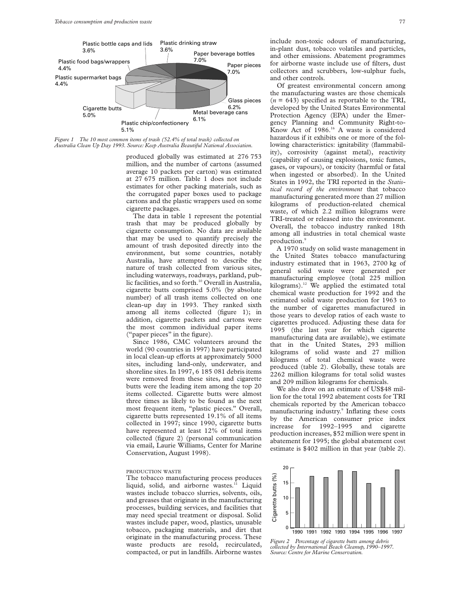

*Figure 1 The 10 most common items of trash (52.4% of total trash) collected on Australia Clean Up Day 1993. Source: Keep Australia Beautiful National Association.*

produced globally was estimated at 276 753 million, and the number of cartons (assumed average 10 packets per carton) was estimated at 27 675 million. Table 1 does not include estimates for other packing materials, such as the corrugated paper boxes used to package cartons and the plastic wrappers used on some cigarette packages.

The data in table 1 represent the potential trash that may be produced globally by cigarette consumption. No data are available that may be used to quantify precisely the amount of trash deposited directly into the environment, but some countries, notably Australia, have attempted to describe the nature of trash collected from various sites, including waterways, roadways, parkland, public facilities, and so forth.<sup>10</sup> Overall in Australia, cigarette butts comprised 5.0% (by absolute number) of all trash items collected on one clean-up day in 1993. They ranked sixth among all items collected (figure 1); in addition, cigarette packets and cartons were the most common individual paper items ("paper pieces" in the figure).

Since 1986, CMC volunteers around the world (90 countries in 1997) have participated in local clean-up efforts at approximately 5000 sites, including land-only, underwater, and shoreline sites. In 1997, 6 185 081 debris items were removed from these sites, and cigarette butts were the leading item among the top 20 items collected. Cigarette butts were almost three times as likely to be found as the next most frequent item, "plastic pieces." Overall, cigarette butts represented 19.1% of all items collected in 1997; since 1990, cigarette butts have represented at least 12% of total items collected (figure 2) (personal communication via email, Laurie Williams, Center for Marine Conservation, August 1998).

### PRODUCTION WASTE

The tobacco manufacturing process produces liquid, solid, and airborne wastes.<sup>11</sup> Liquid wastes include tobacco slurries, solvents, oils, and greases that originate in the manufacturing processes, building services, and facilities that may need special treatment or disposal. Solid wastes include paper, wood, plastics, unusable tobacco, packaging materials, and dirt that originate in the manufacturing process. These waste products are resold, recirculated, compacted, or put in landfills. Airborne wastes

include non-toxic odours of manufacturing, in-plant dust, tobacco volatiles and particles, and other emissions. Abatement programmes for airborne waste include use of filters, dust collectors and scrubbers, low-sulphur fuels, and other controls.

Of greatest environmental concern among the manufacturing wastes are those chemicals  $(n = 643)$  specified as reportable to the TRI, developed by the United States Environmental Protection Agency (EPA) under the Emergency Planning and Community Right-to-Know Act of 1986.16 A waste is considered hazardous if it exhibits one or more of the following characteristics: ignitability (flammability), corrosivity (against metal), reactivity (capability of causing explosions, toxic fumes, gases, or vapours), or toxicity (harmful or fatal when ingested or absorbed). In the United States in 1992, the TRI reported in the *Statistical record of the environment* that tobacco manufacturing generated more than 27 million kilograms of production-related chemical waste, of which 2.2 million kilograms were TRI-treated or released into the environment. Overall, the tobacco industry ranked 18th among all industries in total chemical waste production.<sup>9</sup>

A 1970 study on solid waste management in the United States tobacco manufacturing industry estimated that in 1963, 2700 kg of general solid waste were generated per manufacturing employee (total 225 million kilograms).<sup>12</sup> We applied the estimated total chemical waste production for 1992 and the estimated solid waste production for 1963 to the number of cigarettes manufactured in those years to develop ratios of each waste to cigarettes produced. Adjusting these data for 1995 (the last year for which cigarette manufacturing data are available), we estimate that in the United States, 293 million kilograms of solid waste and 27 million kilograms of total chemical waste were produced (table 2). Globally, these totals are 2262 million kilograms for total solid wastes and 209 million kilograms for chemicals.

We also drew on an estimate of US\$48 million for the total 1992 abatement costs for TRI chemicals reported by the American tobacco manufacturing industry.<sup>9</sup> Inflating these costs by the American consumer price index increase for 1992–1995 and cigarette production increases, \$52 million were spent in abatement for 1995; the global abatement cost estimate is \$402 million in that year (table 2).



*Figure 2 Percentage of cigarette butts among debris collected by International Beach Cleanup, 1990–1997. Source: Centre for Marine Conservation.*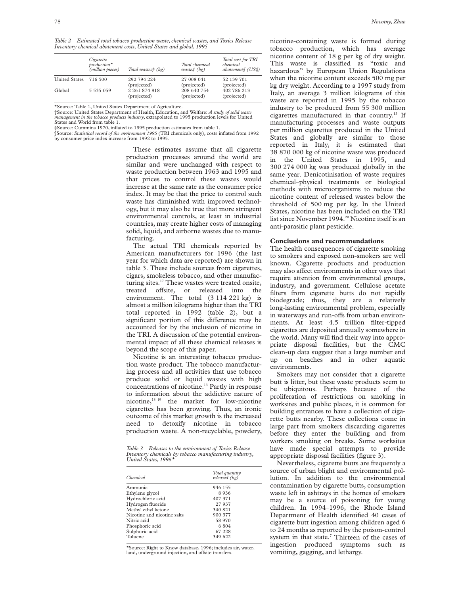*Table 2 Estimated total tobacco production waste, chemical wastes, and Toxics Release Inventory chemical abatement costs, United States and global, 1995*

|                      | Cigarette<br>$production*$<br>(million pieces) | Total wastes† (kg)                          | Total chemical<br>$waste\ddagger$ (kg)    | Total cost for TRI<br>chemical<br>$abatement$ $(US$)$ |
|----------------------|------------------------------------------------|---------------------------------------------|-------------------------------------------|-------------------------------------------------------|
| <b>United States</b> | 716 500                                        | 292 794 224                                 | 27 008 041                                | 52 139 701                                            |
| Global               | 5 535 059                                      | (projected)<br>2 261 874 818<br>(projected) | (projected)<br>208 640 754<br>(projected) | (projected)<br>402 786 213<br>(projected)             |

\*Source: Table 1, United States Department of Agriculture.

†Source: United States Department of Health, Education, and Welfare: *A study of solid waste management in the tobacco products industry,* extrapolated to 1995 production levels for United States and World from table 1.

‡Source: Cummins 1970, inflated to 1995 production estimates from table 1.

§Source: *Statistical record of the environment 1995* (TRI chemicals only), costs inflated from 1992 by consumer price index increase from 1992 to 1995.

> These estimates assume that all cigarette production processes around the world are similar and were unchanged with respect to waste production between 1963 and 1995 and that prices to control these wastes would increase at the same rate as the consumer price index. It may be that the price to control such waste has diminished with improved technology, but it may also be true that more stringent environmental controls, at least in industrial countries, may create higher costs of managing solid, liquid, and airborne wastes due to manufacturing.

> The actual TRI chemicals reported by American manufacturers for 1996 (the last year for which data are reported) are shown in table 3. These include sources from cigarettes, cigars, smokeless tobacco, and other manufacturing sites.<sup>17</sup> These wastes were treated onsite, treated offsite, or released into the environment. The total (3 114 221 kg) is almost a million kilograms higher than the TRI total reported in 1992 (table 2), but a significant portion of this difference may be accounted for by the inclusion of nicotine in the TRI. A discussion of the potential environmental impact of all these chemical releases is beyond the scope of this paper.

> Nicotine is an interesting tobacco production waste product. The tobacco manufacturing process and all activities that use tobacco produce solid or liquid wastes with high concentrations of nicotine.<sup>13</sup> Partly in response to information about the addictive nature of nicotine,18 19 the market for low-nicotine cigarettes has been growing. Thus, an ironic outcome of this market growth is the increased need to detoxify nicotine in tobacco production waste. A non-recyclable, powdery,

*Table 3 Releases to the environment of Toxics Release Inventory chemicals by tobacco manufacturing industry, United States, 1996\**

| Chemical                    | Total quantity<br>released (kg) |
|-----------------------------|---------------------------------|
| Ammonia                     | 946 155                         |
| Ethylene glycol             | 8936                            |
| Hydrochloric acid           | 407 371                         |
| Hydrogen fluoride           | 27 937                          |
| Methyl ethyl ketone         | 340 821                         |
| Nicotine and nicotine salts | 900 377                         |
| Nitric acid                 | 58 970                          |
| Phosphoric acid             | 6804                            |
| Sulphuric acid              | 67 228                          |
| Toluene                     | 349 622                         |
|                             |                                 |

\*Source: Right to Know database, 1996; includes air, water, land, underground injection, and offsite transfers.

nicotine-containing waste is formed during tobacco production, which has average nicotine content of 18 g per kg of dry weight. This waste is classified as "toxic and hazardous" by European Union Regulations when the nicotine content exceeds 500 mg per kg dry weight. According to a 1997 study from Italy, an average 3 million kilograms of this waste are reported in 1995 by the tobacco industry to be produced from 55 300 million cigarettes manufactured in that country.13 If manufacturing processes and waste outputs per million cigarettes produced in the United States and globally are similar to those reported in Italy, it is estimated that 38 870 000 kg of nicotine waste was produced in the United States in 1995, and 300 274 000 kg was produced globally in the same year. Denicotinisation of waste requires chemical–physical treatments or biological methods with microorganisms to reduce the nicotine content of released wastes below the threshold of 500 mg per kg. In the United States, nicotine has been included on the TRI list since November 1994.<sup>20</sup> Nicotine itself is an anti-parasitic plant pesticide.

#### **Conclusions and recommendations**

The health consequences of cigarette smoking to smokers and exposed non-smokers are well known. Cigarette products and production may also affect environments in other ways that require attention from environmental groups, industry, and government. Cellulose acetate filters from cigarette butts do not rapidly biodegrade; thus, they are a relatively long-lasting environmental problem, especially in waterways and run-offs from urban environments. At least 4.5 trillion filter-tipped cigarettes are deposited annually somewhere in the world. Many will find their way into appropriate disposal facilities, but the CMC clean-up data suggest that a large number end up on beaches and in other aquatic environments.

Smokers may not consider that a cigarette butt is litter, but these waste products seem to be ubiquitous. Perhaps because of the proliferation of restrictions on smoking in worksites and public places, it is common for building entrances to have a collection of cigarette butts nearby. These collections come in large part from smokers discarding cigarettes before they enter the building and from workers smoking on breaks. Some worksites have made special attempts to provide appropriate disposal facilities (figure 3).

Nevertheless, cigarette butts are frequently a source of urban blight and environmental pollution. In addition to the environmental contamination by cigarette butts, consumption waste left in ashtrays in the homes of smokers may be a source of poisoning for young children. In 1994–1996, the Rhode Island Department of Health identified 40 cases of cigarette butt ingestion among children aged 6 to 24 months as reported by the poison-control system in that state.<sup>7</sup> Thirteen of the cases of ingestion produced symptoms such as vomiting, gagging, and lethargy.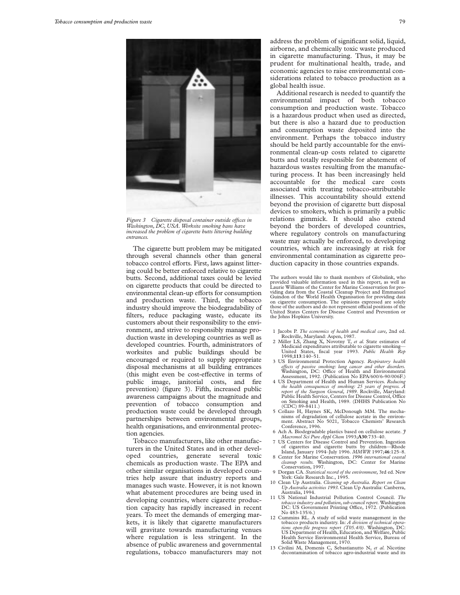

*Figure 3 Cigarette disposal container outside offices in Washington, DC, USA. Worksite smoking bans have increased the problem of cigarette butts littering building entrances.*

The cigarette butt problem may be mitigated through several channels other than general tobacco control efforts. First, laws against littering could be better enforced relative to cigarette butts. Second, additional taxes could be levied on cigarette products that could be directed to environmental clean-up efforts for consumption and production waste. Third, the tobacco industry should improve the biodegradability of filters, reduce packaging waste, educate its customers about their responsibility to the environment, and strive to responsibly manage production waste in developing countries as well as developed countries. Fourth, administrators of worksites and public buildings should be encouraged or required to supply appropriate disposal mechanisms at all building entrances (this might even be cost-effective in terms of public image, janitorial costs, and fire prevention) (figure 3). Fifth, increased public awareness campaigns about the magnitude and prevention of tobacco consumption and production waste could be developed through partnerships between environmental groups, health organisations, and environmental protection agencies.

Tobacco manufacturers, like other manufacturers in the United States and in other developed countries, generate several toxic chemicals as production waste. The EPA and other similar organisations in developed countries help assure that industry reports and manages such waste. However, it is not known what abatement procedures are being used in developing countries, where cigarette production capacity has rapidly increased in recent years. To meet the demands of emerging markets, it is likely that cigarette manufacturers will gravitate towards manufacturing venues where regulation is less stringent. In the absence of public awareness and governmental regulations, tobacco manufacturers may not

address the problem of significant solid, liquid, airborne, and chemically toxic waste produced in cigarette manufacturing. Thus, it may be prudent for multinational health, trade, and economic agencies to raise environmental considerations related to tobacco production as a global health issue.

Additional research is needed to quantify the environmental impact of both tobacco consumption and production waste. Tobacco is a hazardous product when used as directed, but there is also a hazard due to production and consumption waste deposited into the environment. Perhaps the tobacco industry should be held partly accountable for the environmental clean-up costs related to cigarette butts and totally responsible for abatement of hazardous wastes resulting from the manufacturing process. It has been increasingly held accountable for the medical care costs associated with treating tobacco-attributable illnesses. This accountability should extend beyond the provision of cigarette butt disposal devices to smokers, which is primarily a public relations gimmick. It should also extend beyond the borders of developed countries, where regulatory controls on manufacturing waste may actually be enforced, to developing countries, which are increasingly at risk for environmental contamination as cigarette production capacity in those countries expands.

The authors would like to thank members of Globalink, who provided valuable information used in this report, as well as Laurie Williams of the Center for Marine Conservation for pro-viding data from the Coastal Cleanup Project and Emmanuel Guindon of the World Health Organisation for providing data on cigarette consumption. The opinions expressed are solely those of the authors and do not represent official positions of the United States Centers for Disease Control and Prevention or the Johns Hopkins University.

- 1 Jacobs P. *The economics of health and medical care,* 2nd ed. Rockville, Maryland: Aspen, 1987. 2 Miller LS, Zhang X, Novotny T, *et al.* State estimates of
- Medicaid expenditures attributable to cigarette smoking— United States, fiscal year 1993. *Public Health Rep* 1998;**113**:140–51.
- 3 US Environmental Protection Agency. *Respiratory health effects of passive smoking: lung cancer and other disorders.*<br>Washington, DC: Office of Health and Environmental
- Assessment, 1992. (Publication No EPA/600/6-90/006F.)<br>4 US Department of Health and Human Services. *Reducing* 4 US Department of Health and Human Services. *Reducing*<br>the health consequences of smoking: 25 years of progress. *A*<br>report of the Surgeon General, 1989. Rockville, Maryland:<br>Public Health Service, Centers for Disease Co
- 5 Collazo H, Haynes SK, McDonough MM. The mecha-nisms of degradation of cellulose acetate in the environment. Abstract No 5021, Tobacco Chemists' Research Conference, 1996.
- 6 Ach A. Biodegradable plastics based on cellulose acetate. *J Macromol Sci Pure Appl Chem* 1993;**A30**:733–40.
- 7 US Centers for Disease Control and Prevention. Ingestion of cigarettes and cigarette butts by children—Rhode Island, January 1994–July 1996. *MMWR* 1997;**46**:125–8.
- 8 Center for Marine Conservation. *1996 international coastal cleanup results.* Washington, DC: Center for Marine Conservation, 1997.
- 9 Dorgan CA. *Statistical record of the environment,* 3rd ed. New York: Gale Research Inc., 1995.
- 10 Clean Up Australia. *Cleaning up Australia. Report on Clean Up Australia activities 1993.*Clean Up Australia: Canberra, Australia, 1994.
- 11 US National Industrial Pollution Control Council. *The* tobacco industry and pollution, sub-council report. Washington<br>DC: US Government Printing Office, 1972. (Publication No 483-135/6.)
- 12 Cummins RL. A study of solid waste management in the tobacco products industry. In: *A division of technical opera-tions open-file progress report (T05.4/0).* Washington, DC: US Department of Health, Education, and Welfare, Public Health Service Environmental Health Service, Bureau of Solid Waste Management, 1970. 13 Civilini M, Domenis C, Sebastianutto N, *et al.* Nicotine
- decontamination of tobacco agro-industrial waste and its